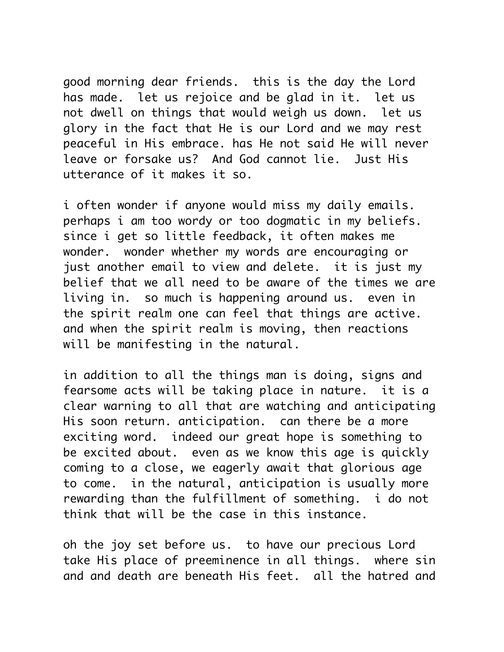good morning dear friends. this is the day the Lord has made. let us rejoice and be glad in it. let us not dwell on things that would weigh us down. let us glory in the fact that He is our Lord and we may rest peaceful in His embrace. has He not said He will never leave or forsake us? And God cannot lie. Just His utterance of it makes it so.

i often wonder if anyone would miss my daily emails. perhaps i am too wordy or too dogmatic in my beliefs. since i get so little feedback, it often makes me wonder. wonder whether my words are encouraging or just another email to view and delete. it is just my belief that we all need to be aware of the times we are living in. so much is happening around us. even in the spirit realm one can feel that things are active. and when the spirit realm is moving, then reactions will be manifesting in the natural.

in addition to all the things man is doing, signs and fearsome acts will be taking place in nature. it is a clear warning to all that are watching and anticipating His soon return. anticipation. can there be a more exciting word. indeed our great hope is something to be excited about. even as we know this age is quickly coming to a close, we eagerly await that glorious age to come. in the natural, anticipation is usually more rewarding than the fulfillment of something. i do not think that will be the case in this instance.

oh the joy set before us. to have our precious Lord take His place of preeminence in all things. where sin and and death are beneath His feet. all the hatred and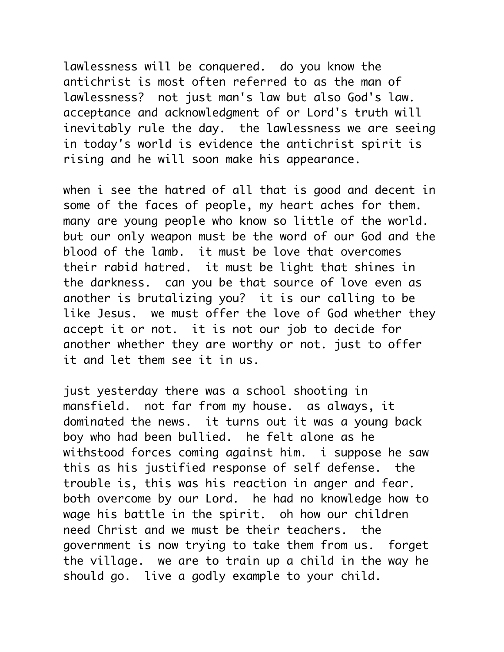lawlessness will be conquered. do you know the antichrist is most often referred to as the man of lawlessness? not just man's law but also God's law. acceptance and acknowledgment of or Lord's truth will inevitably rule the day. the lawlessness we are seeing in today's world is evidence the antichrist spirit is rising and he will soon make his appearance.

when i see the hatred of all that is good and decent in some of the faces of people, my heart aches for them. many are young people who know so little of the world. but our only weapon must be the word of our God and the blood of the lamb. it must be love that overcomes their rabid hatred. it must be light that shines in the darkness. can you be that source of love even as another is brutalizing you? it is our calling to be like Jesus. we must offer the love of God whether they accept it or not. it is not our job to decide for another whether they are worthy or not. just to offer it and let them see it in us.

just yesterday there was a school shooting in mansfield. not far from my house. as always, it dominated the news. it turns out it was a young back boy who had been bullied. he felt alone as he withstood forces coming against him. i suppose he saw this as his justified response of self defense. the trouble is, this was his reaction in anger and fear. both overcome by our Lord. he had no knowledge how to wage his battle in the spirit. oh how our children need Christ and we must be their teachers. the government is now trying to take them from us. forget the village. we are to train up a child in the way he should go. live a godly example to your child.